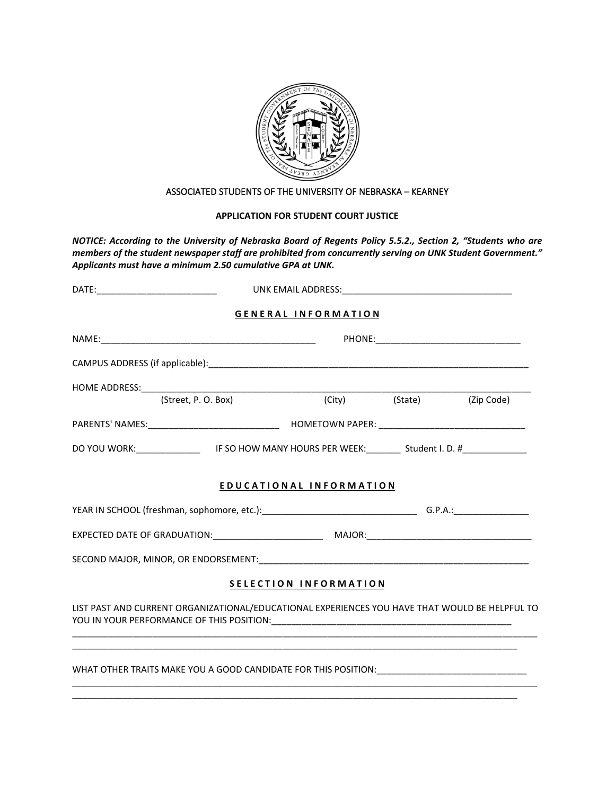

## ASSOCIATED STUDENTS OF THE UNIVERSITY OF NEBRASKA – KEARNEY

## **APPLICATION FOR STUDENT COURT JUSTICE**

*NOTICE: According to the University of Nebraska Board of Regents Policy 5.5.2., Section 2, "Students who are members of the student newspaper staff are prohibited from concurrently serving on UNK Student Government." Applicants must have a minimum 2.50 cumulative GPA at UNK.* 

|                                                                                                               |  | <b>GENERAL INFORMATION</b> |                           |  |
|---------------------------------------------------------------------------------------------------------------|--|----------------------------|---------------------------|--|
|                                                                                                               |  |                            |                           |  |
|                                                                                                               |  |                            |                           |  |
|                                                                                                               |  |                            |                           |  |
|                                                                                                               |  |                            | (City) (State) (Zip Code) |  |
|                                                                                                               |  |                            |                           |  |
| DO YOU WORK: ________________________IF SO HOW MANY HOURS PER WEEK: __________Student I. D. #________________ |  |                            |                           |  |
|                                                                                                               |  |                            |                           |  |
|                                                                                                               |  | EDUCATIONAL INFORMATION    |                           |  |
|                                                                                                               |  |                            |                           |  |
|                                                                                                               |  |                            |                           |  |
|                                                                                                               |  |                            |                           |  |
|                                                                                                               |  | SELECTION INFORMATION      |                           |  |
| LIST PAST AND CURRENT ORGANIZATIONAL/EDUCATIONAL EXPERIENCES YOU HAVE THAT WOULD BE HELPFUL TO                |  |                            |                           |  |
| WHAT OTHER TRAITS MAKE YOU A GOOD CANDIDATE FOR THIS POSITION: NAMEL ASSESSMENT OF REAL PROPERTY.             |  |                            |                           |  |

\_\_\_\_\_\_\_\_\_\_\_\_\_\_\_\_\_\_\_\_\_\_\_\_\_\_\_\_\_\_\_\_\_\_\_\_\_\_\_\_\_\_\_\_\_\_\_\_\_\_\_\_\_\_\_\_\_\_\_\_\_\_\_\_\_\_\_\_\_\_\_\_\_\_\_\_\_\_\_\_\_\_\_\_\_\_\_\_\_